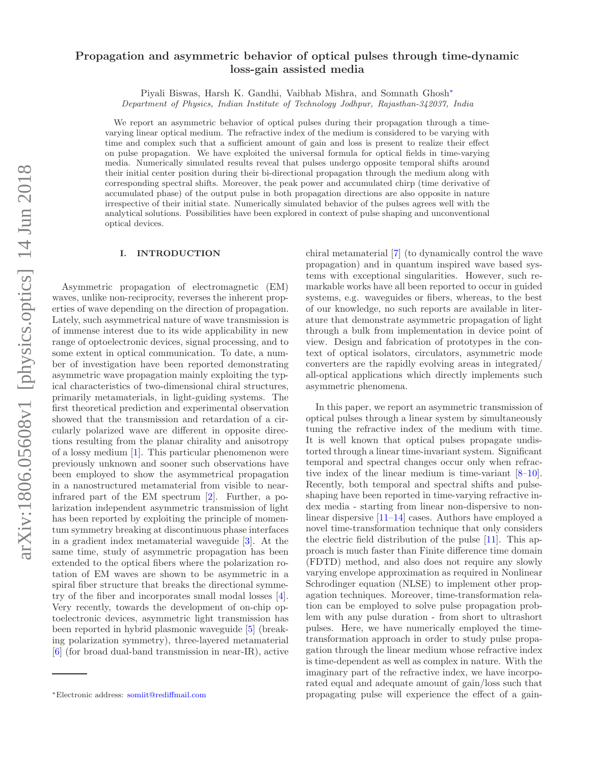# arXiv:1806.05608v1 [physics.optics] 14 Jun 2018 arXiv:1806.05608v1 [physics.optics] 14 Jun 2018

# Propagation and asymmetric behavior of optical pulses through time-dynamic loss-gain assisted media

Piyali Biswas, Harsh K. Gandhi, Vaibhab Mishra, and Somnath Ghosh<sup>∗</sup>

Department of Physics, Indian Institute of Technology Jodhpur, Rajasthan-342037, India

We report an asymmetric behavior of optical pulses during their propagation through a timevarying linear optical medium. The refractive index of the medium is considered to be varying with time and complex such that a sufficient amount of gain and loss is present to realize their effect on pulse propagation. We have exploited the universal formula for optical fields in time-varying media. Numerically simulated results reveal that pulses undergo opposite temporal shifts around their initial center position during their bi-directional propagation through the medium along with corresponding spectral shifts. Moreover, the peak power and accumulated chirp (time derivative of accumulated phase) of the output pulse in both propagation directions are also opposite in nature irrespective of their initial state. Numerically simulated behavior of the pulses agrees well with the analytical solutions. Possibilities have been explored in context of pulse shaping and unconventional optical devices.

### I. INTRODUCTION

Asymmetric propagation of electromagnetic (EM) waves, unlike non-reciprocity, reverses the inherent properties of wave depending on the direction of propagation. Lately, such asymmetrical nature of wave transmission is of immense interest due to its wide applicability in new range of optoelectronic devices, signal processing, and to some extent in optical communication. To date, a number of investigation have been reported demonstrating asymmetric wave propagation mainly exploiting the typical characteristics of two-dimensional chiral structures, primarily metamaterials, in light-guiding systems. The first theoretical prediction and experimental observation showed that the transmission and retardation of a circularly polarized wave are different in opposite directions resulting from the planar chirality and anisotropy of a lossy medium [1]. This particular phenomenon were previously unknown and sooner such observations have been employed to show the asymmetrical propagation in a nanostructured metamaterial from visible to nearinfrared part of the EM spectrum [2]. Further, a polarization independent asymmetric transmission of light has been reported by exploiting the principle of momentum symmetry breaking at discontinuous phase interfaces in a gradient index metamaterial waveguide [3]. At the same time, study of asymmetric propagation has been extended to the optical fibers where the polarization rotation of EM waves are shown to be asymmetric in a spiral fiber structure that breaks the directional symmetry of the fiber and incorporates small modal losses [4]. Very recently, towards the development of on-chip optoelectronic devices, asymmetric light transmission has been reported in hybrid plasmonic waveguide [5] (breaking polarization symmetry), three-layered metamaterial [6] (for broad dual-band transmission in near-IR), active

chiral metamaterial [7] (to dynamically control the wave propagation) and in quantum inspired wave based systems with exceptional singularities. However, such remarkable works have all been reported to occur in guided systems, e.g. waveguides or fibers, whereas, to the best of our knowledge, no such reports are available in literature that demonstrate asymmetric propagation of light through a bulk from implementation in device point of view. Design and fabrication of prototypes in the context of optical isolators, circulators, asymmetric mode converters are the rapidly evolving areas in integrated/ all-optical applications which directly implements such asymmetric phenomena.

In this paper, we report an asymmetric transmission of optical pulses through a linear system by simultaneously tuning the refractive index of the medium with time. It is well known that optical pulses propagate undistorted through a linear time-invariant system. Significant temporal and spectral changes occur only when refractive index of the linear medium is time-variant [8–10]. Recently, both temporal and spectral shifts and pulseshaping have been reported in time-varying refractive index media - starting from linear non-dispersive to nonlinear dispersive [11–14] cases. Authors have employed a novel time-transformation technique that only considers the electric field distribution of the pulse [11]. This approach is much faster than Finite difference time domain (FDTD) method, and also does not require any slowly varying envelope approximation as required in Nonlinear Schrodinger equation (NLSE) to implement other propagation techniques. Moreover, time-transformation relation can be employed to solve pulse propagation problem with any pulse duration - from short to ultrashort pulses. Here, we have numerically employed the timetransformation approach in order to study pulse propagation through the linear medium whose refractive index is time-dependent as well as complex in nature. With the imaginary part of the refractive index, we have incorporated equal and adequate amount of gain/loss such that propagating pulse will experience the effect of a gain-

<sup>∗</sup>Electronic address: somiit@rediffmail.com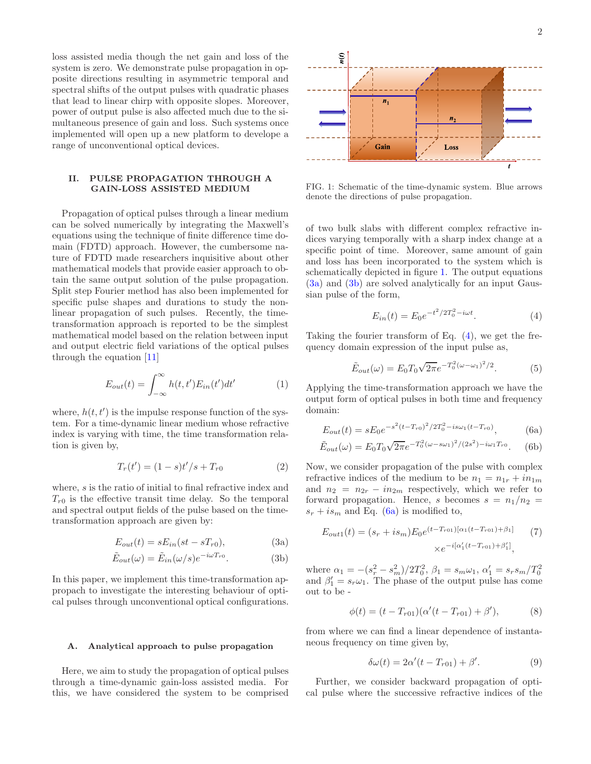loss assisted media though the net gain and loss of the system is zero. We demonstrate pulse propagation in opposite directions resulting in asymmetric temporal and spectral shifts of the output pulses with quadratic phases that lead to linear chirp with opposite slopes. Moreover, power of output pulse is also affected much due to the simultaneous presence of gain and loss. Such systems once implemented will open up a new platform to develope a range of unconventional optical devices.

# II. PULSE PROPAGATION THROUGH A GAIN-LOSS ASSISTED MEDIUM

Propagation of optical pulses through a linear medium can be solved numerically by integrating the Maxwell's equations using the technique of finite difference time domain (FDTD) approach. However, the cumbersome nature of FDTD made researchers inquisitive about other mathematical models that provide easier approach to obtain the same output solution of the pulse propagation. Split step Fourier method has also been implemented for specific pulse shapes and durations to study the nonlinear propagation of such pulses. Recently, the timetransformation approach is reported to be the simplest mathematical model based on the relation between input and output electric field variations of the optical pulses through the equation [11]

$$
E_{out}(t) = \int_{-\infty}^{\infty} h(t, t') E_{in}(t') dt' \tag{1}
$$

where,  $h(t, t')$  is the impulse response function of the system. For a time-dynamic linear medium whose refractive index is varying with time, the time transformation relation is given by,

$$
T_r(t') = (1 - s)t'/s + T_{r0}
$$
 (2)

where, s is the ratio of initial to final refractive index and  $T_{r0}$  is the effective transit time delay. So the temporal and spectral output fields of the pulse based on the timetransformation approach are given by:

$$
E_{out}(t) = sE_{in}(st - sT_{r0}),
$$
\n(3a)

$$
\tilde{E}_{out}(\omega) = \tilde{E}_{in}(\omega/s)e^{-i\omega T_{r0}}.
$$
\n(3b)

In this paper, we implement this time-transformation appropach to investigate the interesting behaviour of optical pulses through unconventional optical configurations.

### A. Analytical approach to pulse propagation

Here, we aim to study the propagation of optical pulses through a time-dynamic gain-loss assisted media. For this, we have considered the system to be comprised



FIG. 1: Schematic of the time-dynamic system. Blue arrows denote the directions of pulse propagation.

of two bulk slabs with different complex refractive indices varying temporally with a sharp index change at a specific point of time. Moreover, same amount of gain and loss has been incorporated to the system which is schematically depicted in figure 1. The output equations (3a) and (3b) are solved analytically for an input Gaussian pulse of the form,

$$
E_{in}(t) = E_0 e^{-t^2/2T_0^2 - i\omega t}.
$$
 (4)

Taking the fourier transform of Eq.  $(4)$ , we get the frequency domain expression of the input pulse as,

$$
\tilde{E}_{out}(\omega) = E_0 T_0 \sqrt{2\pi} e^{-T_0^2 (\omega - \omega_1)^2 / 2}.
$$
\n(5)

Applying the time-transformation approach we have the output form of optical pulses in both time and frequency domain:

$$
E_{out}(t) = sE_0e^{-s^2(t-T_{r0})^2/2T_0^2 - is\omega_1(t-T_{r0})},
$$
\n(6a)

$$
\tilde{E}_{out}(\omega) = E_0 T_0 \sqrt{2\pi} e^{-T_0^2 (\omega - s\omega_1)^2 / (2s^2) - i\omega_1 T_{r0}}.
$$
 (6b)

Now, we consider propagation of the pulse with complex refractive indices of the medium to be  $n_1 = n_{1r} + i n_{1m}$ and  $n_2 = n_{2r} - in_{2m}$  respectively, which we refer to forward propagation. Hence, s becomes  $s = n_1/n_2$  $s_r + i s_m$  and Eq. (6a) is modified to,

$$
E_{out1}(t) = (s_r + is_m)E_0e^{(t - T_{r01})[\alpha_1(t - T_{r01}) + \beta_1]}
$$

$$
\times e^{-i[\alpha'_1(t - T_{r01}) + \beta'_1]},
$$
(7)

where  $\alpha_1 = -(s_r^2 - s_m^2)/2T_0^2$ ,  $\beta_1 = s_m \omega_1$ ,  $\alpha_1' = s_r s_m/T_0^2$ and  $\beta'_1 = s_r \omega_1$ . The phase of the output pulse has come out to be -

$$
\phi(t) = (t - T_{r01})(\alpha'(t - T_{r01}) + \beta'),
$$
\n(8)

from where we can find a linear dependence of instantaneous frequency on time given by,

$$
\delta\omega(t) = 2\alpha'(t - T_{r01}) + \beta'.\tag{9}
$$

Further, we consider backward propagation of optical pulse where the successive refractive indices of the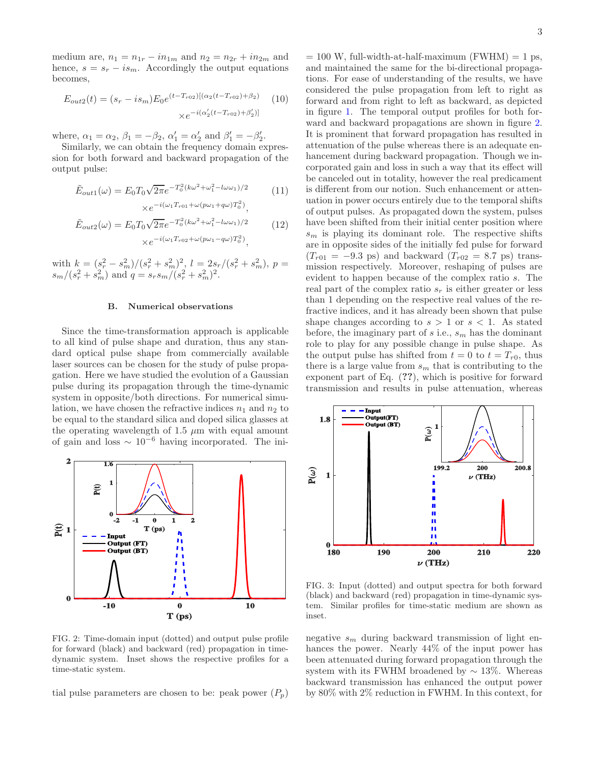medium are,  $n_1 = n_{1r} - in_{1m}$  and  $n_2 = n_{2r} + in_{2m}$  and hence,  $s = s_r - i s_m$ . Accordingly the output equations becomes,

$$
E_{out2}(t) = (s_r - is_m)E_0e^{(t - T_{r02})[(\alpha_2(t - T_{r02}) + \beta_2)]}
$$
(10)  

$$
\times e^{-i(\alpha'_2(t - T_{r02}) + \beta'_2)]}
$$

where,  $\alpha_1 = \alpha_2$ ,  $\beta_1 = -\beta_2$ ,  $\alpha'_1 = \alpha'_2$  and  $\beta'_1 = -\beta'_2$ .

Similarly, we can obtain the frequency domain expression for both forward and backward propagation of the output pulse:

$$
\tilde{E}_{out1}(\omega) = E_0 T_0 \sqrt{2\pi} e^{-T_0^2 (k\omega^2 + \omega_1^2 - l\omega\omega_1)/2} \times e^{-i(\omega_1 T_{r01} + \omega (p\omega_1 + q\omega)T_0^2)},
$$
\n(11)

$$
\tilde{E}_{out2}(\omega) = E_0 T_0 \sqrt{2\pi} e^{-T_0^2 (k\omega^2 + \omega_1^2 - l\omega\omega_1)/2}
$$
\n
$$
\times e^{-i(\omega_1 T_{r02} + \omega (p\omega_1 - q\omega) T_0^2)},
$$
\n(12)

with  $k = (s_r^2 - s_m^2)/(s_r^2 + s_m^2)^2$ ,  $l = 2s_r/(s_r^2 + s_m^2)$ ,  $p =$  $s_m/(s_r^2 + s_m^2)$  and  $q = s_r s_m/(s_r^2 + s_m^2)^2$ .

### B. Numerical observations

Since the time-transformation approach is applicable to all kind of pulse shape and duration, thus any standard optical pulse shape from commercially available laser sources can be chosen for the study of pulse propagation. Here we have studied the evolution of a Gaussian pulse during its propagation through the time-dynamic system in opposite/both directions. For numerical simulation, we have chosen the refractive indices  $n_1$  and  $n_2$  to be equal to the standard silica and doped silica glasses at the operating wavelength of 1.5  $\mu$ m with equal amount of gain and loss  $\sim 10^{-6}$  having incorporated. The ini-



FIG. 2: Time-domain input (dotted) and output pulse profile for forward (black) and backward (red) propagation in timedynamic system. Inset shows the respective profiles for a time-static system.

tial pulse parameters are chosen to be: peak power  $(P_n)$ 

 $= 100$  W, full-width-at-half-maximum (FWHM)  $= 1$  ps, and maintained the same for the bi-directional propagations. For ease of understanding of the results, we have considered the pulse propagation from left to right as forward and from right to left as backward, as depicted in figure 1. The temporal output profiles for both forward and backward propagations are shown in figure 2. It is prominent that forward propagation has resulted in attenuation of the pulse whereas there is an adequate enhancement during backward propagation. Though we incorporated gain and loss in such a way that its effect will be canceled out in totality, however the real predicament is different from our notion. Such enhancement or attenuation in power occurs entirely due to the temporal shifts of output pulses. As propagated down the system, pulses have been shifted from their initial center position where  $s_m$  is playing its dominant role. The respective shifts are in opposite sides of the initially fed pulse for forward  $(T_{r01} = -9.3 \text{ ps})$  and backward  $(T_{r02} = 8.7 \text{ ps})$  transmission respectively. Moreover, reshaping of pulses are evident to happen because of the complex ratio s. The real part of the complex ratio  $s_r$  is either greater or less than 1 depending on the respective real values of the refractive indices, and it has already been shown that pulse shape changes according to  $s > 1$  or  $s < 1$ . As stated before, the imaginary part of  $s$  i.e.,  $s_m$  has the dominant role to play for any possible change in pulse shape. As the output pulse has shifted from  $t = 0$  to  $t = T_{r0}$ , thus there is a large value from  $s_m$  that is contributing to the exponent part of Eq. (??), which is positive for forward transmission and results in pulse attenuation, whereas



FIG. 3: Input (dotted) and output spectra for both forward (black) and backward (red) propagation in time-dynamic system. Similar profiles for time-static medium are shown as inset.

negative  $s_m$  during backward transmission of light enhances the power. Nearly 44% of the input power has been attenuated during forward propagation through the system with its FWHM broadened by  $\sim 13\%$ . Whereas backward transmission has enhanced the output power by 80% with 2% reduction in FWHM. In this context, for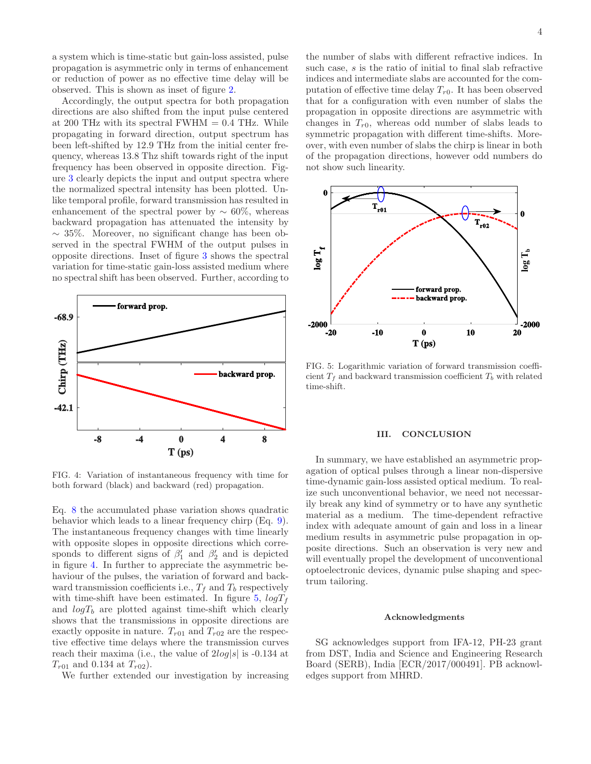a system which is time-static but gain-loss assisted, pulse propagation is asymmetric only in terms of enhancement or reduction of power as no effective time delay will be observed. This is shown as inset of figure 2.

Accordingly, the output spectra for both propagation directions are also shifted from the input pulse centered at 200 THz with its spectral FWHM  $= 0.4$  THz. While propagating in forward direction, output spectrum has been left-shifted by 12.9 THz from the initial center frequency, whereas 13.8 Thz shift towards right of the input frequency has been observed in opposite direction. Figure 3 clearly depicts the input and output spectra where the normalized spectral intensity has been plotted. Unlike temporal profile, forward transmission has resulted in enhancement of the spectral power by  $\sim 60\%$ , whereas backward propagation has attenuated the intensity by ∼ 35%. Moreover, no significant change has been observed in the spectral FWHM of the output pulses in opposite directions. Inset of figure 3 shows the spectral variation for time-static gain-loss assisted medium where no spectral shift has been observed. Further, according to



FIG. 4: Variation of instantaneous frequency with time for both forward (black) and backward (red) propagation.

Eq. 8 the accumulated phase variation shows quadratic behavior which leads to a linear frequency chirp (Eq. 9). The instantaneous frequency changes with time linearly with opposite slopes in opposite directions which corresponds to different signs of  $\beta'_1$  and  $\beta'_2$  and is depicted in figure 4. In further to appreciate the asymmetric behaviour of the pulses, the variation of forward and backward transmission coefficients i.e.,  $T_f$  and  $T_b$  respectively with time-shift have been estimated. In figure 5,  $logT_f$ and  $logT_b$  are plotted against time-shift which clearly shows that the transmissions in opposite directions are exactly opposite in nature.  $T_{r01}$  and  $T_{r02}$  are the respective effective time delays where the transmission curves reach their maxima (i.e., the value of  $2log|s|$  is -0.134 at  $T_{r01}$  and 0.134 at  $T_{r02}$ ).

We further extended our investigation by increasing

the number of slabs with different refractive indices. In such case, s is the ratio of initial to final slab refractive indices and intermediate slabs are accounted for the computation of effective time delay  $T_{r0}$ . It has been observed that for a configuration with even number of slabs the propagation in opposite directions are asymmetric with changes in  $T_{r0}$ , whereas odd number of slabs leads to symmetric propagation with different time-shifts. Moreover, with even number of slabs the chirp is linear in both of the propagation directions, however odd numbers do not show such linearity.



FIG. 5: Logarithmic variation of forward transmission coefficient  $T_f$  and backward transmission coefficient  $T_b$  with related time-shift.

## III. CONCLUSION

In summary, we have established an asymmetric propagation of optical pulses through a linear non-dispersive time-dynamic gain-loss assisted optical medium. To realize such unconventional behavior, we need not necessarily break any kind of symmetry or to have any synthetic material as a medium. The time-dependent refractive index with adequate amount of gain and loss in a linear medium results in asymmetric pulse propagation in opposite directions. Such an observation is very new and will eventually propel the development of unconventional optoelectronic devices, dynamic pulse shaping and spectrum tailoring.

### Acknowledgments

SG acknowledges support from IFA-12, PH-23 grant from DST, India and Science and Engineering Research Board (SERB), India [ECR/2017/000491]. PB acknowledges support from MHRD.